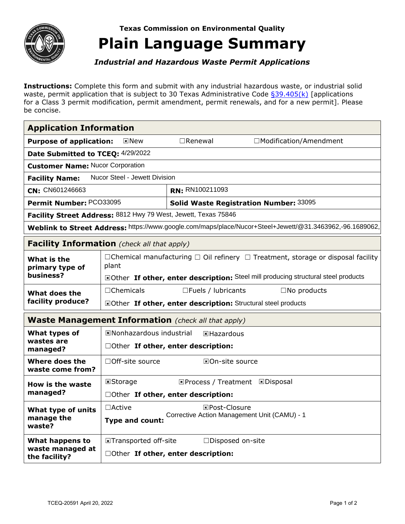

**Texas Commission on Environmental Quality** 

## **Plain Language Summary**

*Industrial and Hazardous Waste Permit Applications* 

**Instructions:** Complete this form and submit with any industrial hazardous waste, or industrial solid waste, permit application that is subject to 30 Texas Administrative Code [§39.405\(k\)](https://texreg.sos.state.tx.us/public/readtac$ext.TacPage?sl=R&app=9&p_dir=&p_rloc=&p_tloc=&p_ploc=&pg=1&p_tac=&ti=30&pt=1&ch=39&rl=405) [applications for a Class 3 permit modification, permit amendment, permit renewals, and for a new permit]. Please be concise.

| <b>Application Information</b>                                                                           |                                                                                                           |                                               |                                       |  |  |
|----------------------------------------------------------------------------------------------------------|-----------------------------------------------------------------------------------------------------------|-----------------------------------------------|---------------------------------------|--|--|
| <b>Purpose of application:</b><br>$\sqrt{N}$ New                                                         |                                                                                                           | $\Box$ Renewal                                | □Modification/Amendment               |  |  |
| Date Submitted to TCEQ: 4/29/2022                                                                        |                                                                                                           |                                               |                                       |  |  |
| <b>Customer Name: Nucor Corporation</b>                                                                  |                                                                                                           |                                               |                                       |  |  |
| <b>Nucor Steel - Jewett Division</b><br><b>Facility Name:</b>                                            |                                                                                                           |                                               |                                       |  |  |
| CN: CN601246663                                                                                          |                                                                                                           | RN: RN100211093                               |                                       |  |  |
| Permit Number: PCO33095                                                                                  |                                                                                                           | <b>Solid Waste Registration Number: 33095</b> |                                       |  |  |
| Facility Street Address: 8812 Hwy 79 West, Jewett, Texas 75846                                           |                                                                                                           |                                               |                                       |  |  |
| Weblink to Street Address: https://www.google.com/maps/place/Nucor+Steel+Jewett/@31.3463962,-96.1689062, |                                                                                                           |                                               |                                       |  |  |
| <b>Facility Information</b> (check all that apply)                                                       |                                                                                                           |                                               |                                       |  |  |
| What is the<br>primary type of<br>business?                                                              | $\Box$ Chemical manufacturing $\Box$ Oil refinery $\Box$ Treatment, storage or disposal facility<br>plant |                                               |                                       |  |  |
|                                                                                                          | EOther If other, enter description: Steel mill producing structural steel products                        |                                               |                                       |  |  |
| What does the<br>facility produce?                                                                       | $\Box$ Chemicals                                                                                          | $\square$ Fuels / lubricants                  | $\square$ No products                 |  |  |
|                                                                                                          | <b>ElOther If other, enter description:</b> Structural steel products                                     |                                               |                                       |  |  |
| <b>Waste Management Information</b> (check all that apply)                                               |                                                                                                           |                                               |                                       |  |  |
| What types of<br>wastes are<br>managed?                                                                  | <b>ENonhazardous industrial</b><br><b>E</b> Hazardous                                                     |                                               |                                       |  |  |
|                                                                                                          | DOther If other, enter description:                                                                       |                                               |                                       |  |  |
| Where does the<br>waste come from?                                                                       | □Off-site source                                                                                          | <b>EOn-site source</b>                        |                                       |  |  |
| How is the waste<br>managed?                                                                             | <b>E</b> Storage                                                                                          |                                               | <b>EProcess / Treatment EDisposal</b> |  |  |
|                                                                                                          | □Other If other, enter description:                                                                       |                                               |                                       |  |  |
| What type of units<br>manage the<br>waste?                                                               | $\Box$ Active                                                                                             | <b>EPost-Closure</b>                          |                                       |  |  |
|                                                                                                          | Corrective Action Management Unit (CAMU) - 1<br>Type and count:                                           |                                               |                                       |  |  |
| What happens to<br>waste managed at<br>the facility?                                                     | ITransported off-site                                                                                     | □Disposed on-site                             |                                       |  |  |
|                                                                                                          | □Other If other, enter description:                                                                       |                                               |                                       |  |  |